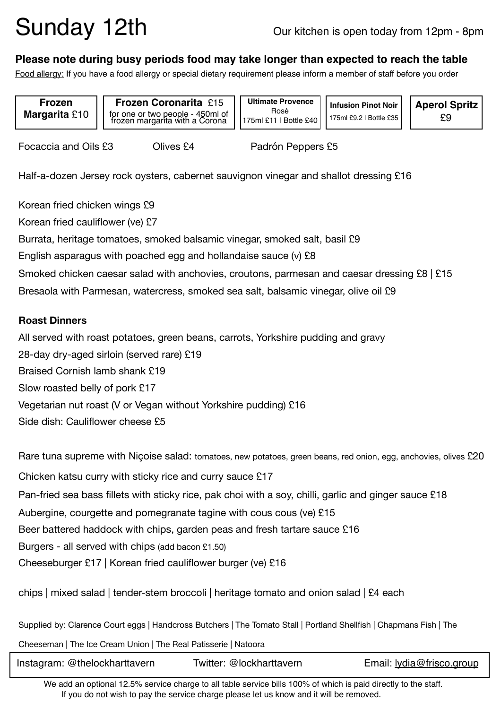# Sunday 12th Our kitchen is open today from 12pm - 8pm

### **Please note during busy periods food may take longer than expected to reach the table**

Food allergy: If you have a food allergy or special dietary requirement please inform a member of staff before you order

**Frozen Margarita** £10

**Frozen Coronarita** £15 for one or two people - 450ml of frozen margarita with a Corona

**Ultimate Provence**  Rosé 175ml £11 | Bottle £40

**Infusion Pinot Noir**  175ml £9.2 | Bottle £35

**Aperol Spritz**  £9

Focaccia and Oils £3 Clives £4 Padrón Peppers £5

Half-a-dozen Jersey rock oysters, cabernet sauvignon vinegar and shallot dressing £16

Korean fried chicken wings £9 Korean fried cauliflower (ve) £7 Burrata, heritage tomatoes, smoked balsamic vinegar, smoked salt, basil £9 English asparagus with poached egg and hollandaise sauce (v) £8 Smoked chicken caesar salad with anchovies, croutons, parmesan and caesar dressing £8 | £15 Bresaola with Parmesan, watercress, smoked sea salt, balsamic vinegar, olive oil £9

#### **Roast Dinners**

All served with roast potatoes, green beans, carrots, Yorkshire pudding and gravy 28-day dry-aged sirloin (served rare) £19 Braised Cornish lamb shank £19 Slow roasted belly of pork £17 Vegetarian nut roast (V or Vegan without Yorkshire pudding) £16 Side dish: Cauliflower cheese £5

Rare tuna supreme with Niçoise salad: tomatoes, new potatoes, green beans, red onion, egg, anchovies, olives £20 Chicken katsu curry with sticky rice and curry sauce £17 Pan-fried sea bass fillets with sticky rice, pak choi with a soy, chilli, garlic and ginger sauce £18 Aubergine, courgette and pomegranate tagine with cous cous (ve) £15 Beer battered haddock with chips, garden peas and fresh tartare sauce £16 Burgers - all served with chips (add bacon £1.50) Cheeseburger £17 | Korean fried cauliflower burger (ve) £16

chips | mixed salad | tender-stem broccoli | heritage tomato and onion salad | £4 each

Supplied by: Clarence Court eggs | Handcross Butchers | The Tomato Stall | Portland Shellfish | Chapmans Fish | The

Cheeseman | The Ice Cream Union | The Real Patisserie | Natoora

| Instagram: @thelockharttavern | Twitter: @lockharttavern | Email: lydia@frisco.group |
|-------------------------------|--------------------------|---------------------------|
|                               |                          |                           |

We add an optional 12.5% service charge to all table service bills 100% of which is paid directly to the staff. If you do not wish to pay the service charge please let us know and it will be removed.